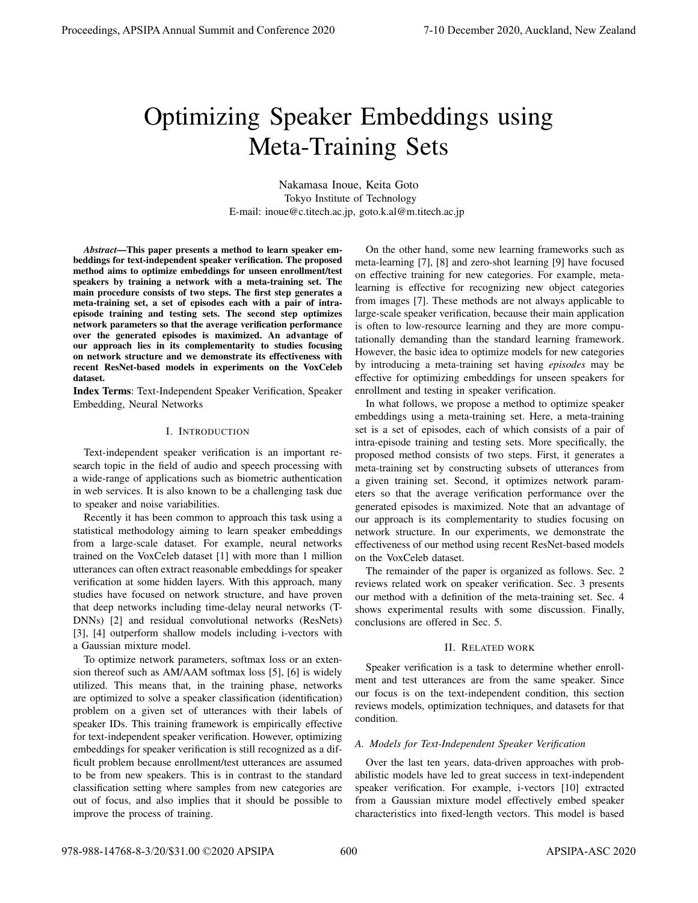# Optimizing Speaker Embeddings using Meta-Training Sets

Nakamasa Inoue, Keita Goto Tokyo Institute of Technology E-mail: inoue@c.titech.ac.jp, goto.k.al@m.titech.ac.jp

*Abstract*—This paper presents a method to learn speaker embeddings for text-independent speaker verification. The proposed method aims to optimize embeddings for unseen enrollment/test speakers by training a network with a meta-training set. The main procedure consists of two steps. The first step generates a meta-training set, a set of episodes each with a pair of intraepisode training and testing sets. The second step optimizes network parameters so that the average verification performance over the generated episodes is maximized. An advantage of our approach lies in its complementarity to studies focusing on network structure and we demonstrate its effectiveness with recent ResNet-based models in experiments on the VoxCeleb dataset.

Index Terms: Text-Independent Speaker Verification, Speaker Embedding, Neural Networks

# I. INTRODUCTION

Text-independent speaker verification is an important research topic in the field of audio and speech processing with a wide-range of applications such as biometric authentication in web services. It is also known to be a challenging task due to speaker and noise variabilities.

Recently it has been common to approach this task using a statistical methodology aiming to learn speaker embeddings from a large-scale dataset. For example, neural networks trained on the VoxCeleb dataset [1] with more than 1 million utterances can often extract reasonable embeddings for speaker verification at some hidden layers. With this approach, many studies have focused on network structure, and have proven that deep networks including time-delay neural networks (T-DNNs) [2] and residual convolutional networks (ResNets) [3], [4] outperform shallow models including i-vectors with a Gaussian mixture model.

To optimize network parameters, softmax loss or an extension thereof such as AM/AAM softmax loss [5], [6] is widely utilized. This means that, in the training phase, networks are optimized to solve a speaker classification (identification) problem on a given set of utterances with their labels of speaker IDs. This training framework is empirically effective for text-independent speaker verification. However, optimizing embeddings for speaker verification is still recognized as a difficult problem because enrollment/test utterances are assumed to be from new speakers. This is in contrast to the standard classification setting where samples from new categories are out of focus, and also implies that it should be possible to improve the process of training.

On the other hand, some new learning frameworks such as meta-learning [7], [8] and zero-shot learning [9] have focused on effective training for new categories. For example, metalearning is effective for recognizing new object categories from images [7]. These methods are not always applicable to large-scale speaker verification, because their main application is often to low-resource learning and they are more computationally demanding than the standard learning framework. However, the basic idea to optimize models for new categories by introducing a meta-training set having *episodes* may be effective for optimizing embeddings for unseen speakers for enrollment and testing in speaker verification.

In what follows, we propose a method to optimize speaker embeddings using a meta-training set. Here, a meta-training set is a set of episodes, each of which consists of a pair of intra-episode training and testing sets. More specifically, the proposed method consists of two steps. First, it generates a meta-training set by constructing subsets of utterances from a given training set. Second, it optimizes network parameters so that the average verification performance over the generated episodes is maximized. Note that an advantage of our approach is its complementarity to studies focusing on network structure. In our experiments, we demonstrate the effectiveness of our method using recent ResNet-based models on the VoxCeleb dataset.

The remainder of the paper is organized as follows. Sec. 2 reviews related work on speaker verification. Sec. 3 presents our method with a definition of the meta-training set. Sec. 4 shows experimental results with some discussion. Finally, conclusions are offered in Sec. 5.

# II. RELATED WORK

Speaker verification is a task to determine whether enrollment and test utterances are from the same speaker. Since our focus is on the text-independent condition, this section reviews models, optimization techniques, and datasets for that condition.

# *A. Models for Text-Independent Speaker Verification*

Over the last ten years, data-driven approaches with probabilistic models have led to great success in text-independent speaker verification. For example, i-vectors [10] extracted from a Gaussian mixture model effectively embed speaker characteristics into fixed-length vectors. This model is based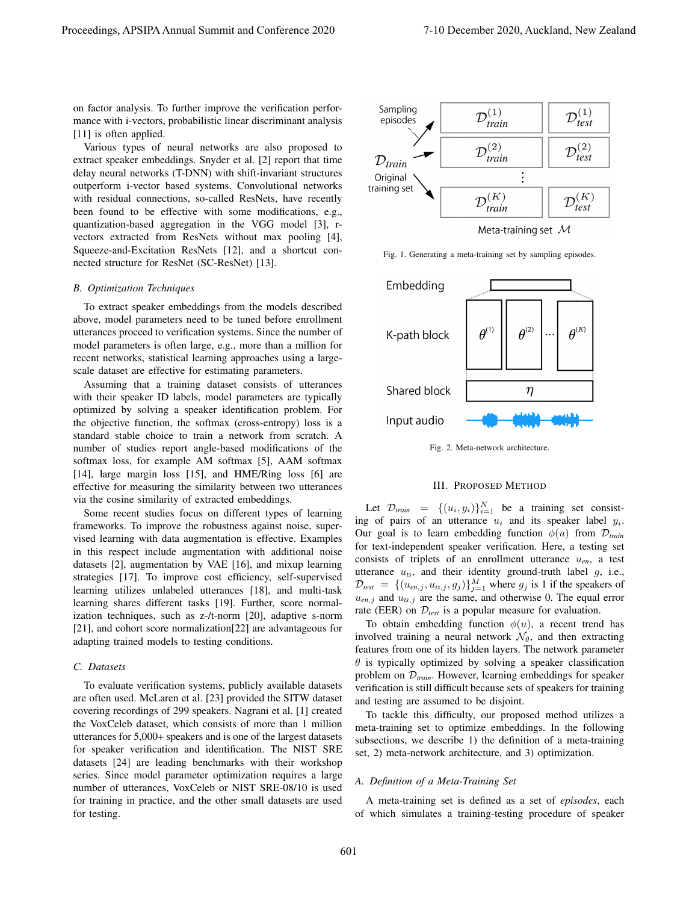on factor analysis. To further improve the verification performance with i-vectors, probabilistic linear discriminant analysis [11] is often applied.

Various types of neural networks are also proposed to extract speaker embeddings. Snyder et al. [2] report that time delay neural networks (T-DNN) with shift-invariant structures outperform i-vector based systems. Convolutional networks with residual connections, so-called ResNets, have recently been found to be effective with some modifications, e.g., quantization-based aggregation in the VGG model [3], rvectors extracted from ResNets without max pooling [4], Squeeze-and-Excitation ResNets [12], and a shortcut connected structure for ResNet (SC-ResNet) [13].

# *B. Optimization Techniques*

To extract speaker embeddings from the models described above, model parameters need to be tuned before enrollment utterances proceed to verification systems. Since the number of model parameters is often large, e.g., more than a million for recent networks, statistical learning approaches using a largescale dataset are effective for estimating parameters.

Assuming that a training dataset consists of utterances with their speaker ID labels, model parameters are typically optimized by solving a speaker identification problem. For the objective function, the softmax (cross-entropy) loss is a standard stable choice to train a network from scratch. A number of studies report angle-based modifications of the softmax loss, for example AM softmax [5], AAM softmax [14], large margin loss [15], and HME/Ring loss [6] are effective for measuring the similarity between two utterances via the cosine similarity of extracted embeddings.

Some recent studies focus on different types of learning frameworks. To improve the robustness against noise, supervised learning with data augmentation is effective. Examples in this respect include augmentation with additional noise datasets [2], augmentation by VAE [16], and mixup learning strategies [17]. To improve cost efficiency, self-supervised learning utilizes unlabeled utterances [18], and multi-task learning shares different tasks [19]. Further, score normalization techniques, such as z-/t-norm [20], adaptive s-norm [21], and cohort score normalization[22] are advantageous for adapting trained models to testing conditions.

# *C. Datasets*

To evaluate verification systems, publicly available datasets are often used. McLaren et al. [23] provided the SITW dataset covering recordings of 299 speakers. Nagrani et al. [1] created the VoxCeleb dataset, which consists of more than 1 million utterances for 5,000+ speakers and is one of the largest datasets for speaker verification and identification. The NIST SRE datasets [24] are leading benchmarks with their workshop series. Since model parameter optimization requires a large number of utterances, VoxCeleb or NIST SRE-08/10 is used for training in practice, and the other small datasets are used for testing.



Fig. 1. Generating a meta-training set by sampling episodes.



Fig. 2. Meta-network architecture.

# III. PROPOSED METHOD

Let  $\mathcal{D}_{train} = \{(u_i, y_i)\}_{i=1}^N$  be a training set consisting of pairs of an utterance *u<sup>i</sup>* and its speaker label *y<sup>i</sup>* . Our goal is to learn embedding function  $\phi(u)$  from  $\mathcal{D}_{train}$ for text-independent speaker verification. Here, a testing set consists of triplets of an enrollment utterance  $u_{en}$ , a test utterance *uts*, and their identity ground-truth label *g*, i.e.,  $\mathcal{D}_{test} = \{(u_{en,j}, u_{ts,j}, g_j)\}_{j=1}^M$  where  $g_j$  is 1 if the speakers of  $u_{en,j}$  and  $u_{ts,j}$  are the same, and otherwise 0. The equal error rate (EER) on  $\mathcal{D}_{test}$  is a popular measure for evaluation.

To obtain embedding function  $\phi(u)$ , a recent trend has involved training a neural network  $\mathcal{N}_{\theta}$ , and then extracting features from one of its hidden layers. The network parameter *θ* is typically optimized by solving a speaker classification problem on *Dtrain*. However, learning embeddings for speaker verification is still difficult because sets of speakers for training and testing are assumed to be disjoint.

To tackle this difficulty, our proposed method utilizes a meta-training set to optimize embeddings. In the following subsections, we describe 1) the definition of a meta-training set, 2) meta-network architecture, and 3) optimization.

## *A. Definition of a Meta-Training Set*

A meta-training set is defined as a set of *episodes*, each of which simulates a training-testing procedure of speaker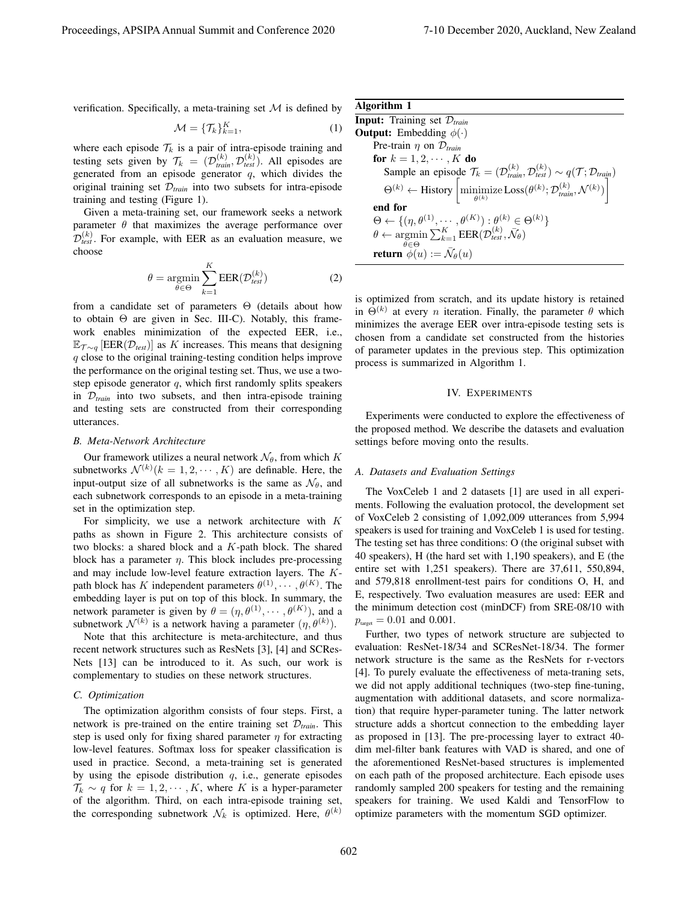verification. Specifically, a meta-training set  $M$  is defined by

$$
\mathcal{M} = \{\mathcal{T}_k\}_{k=1}^K,\tag{1}
$$

where each episode  $\mathcal{T}_k$  is a pair of intra-episode training and testing sets given by  $\mathcal{T}_k = (\mathcal{D}_{train}^{(k)}, \mathcal{D}_{test}^{(k)})$ . All episodes are generated from an episode generator *q*, which divides the original training set *Dtrain* into two subsets for intra-episode training and testing (Figure 1).

Given a meta-training set, our framework seeks a network parameter  $\theta$  that maximizes the average performance over  $\hat{\mathcal{D}}_{test}^{(k)}$ . For example, with EER as an evaluation measure, we choose

$$
\theta = \underset{\theta \in \Theta}{\operatorname{argmin}} \sum_{k=1}^{K} \text{EER}(\mathcal{D}_{test}^{(k)})
$$
(2)

from a candidate set of parameters Θ (details about how to obtain Θ are given in Sec. III-C). Notably, this framework enables minimization of the expected EER, i.e., E*T ∼<sup>q</sup>* [EER(*Dtest*)] as *K* increases. This means that designing *q* close to the original training-testing condition helps improve the performance on the original testing set. Thus, we use a twostep episode generator *q*, which first randomly splits speakers in  $D_{train}$  into two subsets, and then intra-episode training and testing sets are constructed from their corresponding utterances.

#### *B. Meta-Network Architecture*

Our framework utilizes a neural network  $\mathcal{N}_{\theta}$ , from which *K* subnetworks  $\mathcal{N}^{(k)}(k=1,2,\dots,K)$  are definable. Here, the input-output size of all subnetworks is the same as  $\mathcal{N}_{\theta}$ , and each subnetwork corresponds to an episode in a meta-training set in the optimization step.

For simplicity, we use a network architecture with *K* paths as shown in Figure 2. This architecture consists of two blocks: a shared block and a *K*-path block. The shared block has a parameter *η*. This block includes pre-processing and may include low-level feature extraction layers. The *K*path block has *K* independent parameters  $\theta^{(1)}, \cdots, \theta^{(K)}$ . The embedding layer is put on top of this block. In summary, the network parameter is given by  $\theta = (\eta, \theta^{(1)}, \dots, \theta^{(K)})$ , and a subnetwork  $\mathcal{N}^{(k)}$  is a network having a parameter  $(\eta, \theta^{(k)})$ .

Note that this architecture is meta-architecture, and thus recent network structures such as ResNets [3], [4] and SCRes-Nets [13] can be introduced to it. As such, our work is complementary to studies on these network structures.

## *C. Optimization*

The optimization algorithm consists of four steps. First, a network is pre-trained on the entire training set *Dtrain*. This step is used only for fixing shared parameter *η* for extracting low-level features. Softmax loss for speaker classification is used in practice. Second, a meta-training set is generated by using the episode distribution *q*, i.e., generate episodes  $\mathcal{T}_k \sim q$  for  $k = 1, 2, \cdots, K$ , where *K* is a hyper-parameter of the algorithm. Third, on each intra-episode training set, the corresponding subnetwork  $\mathcal{N}_k$  is optimized. Here,  $\theta^{(k)}$ 

| Algorithm 1                                                                                                                                                                                                                                                                                             |
|---------------------------------------------------------------------------------------------------------------------------------------------------------------------------------------------------------------------------------------------------------------------------------------------------------|
| <b>Input:</b> Training set $\mathcal{D}_{train}$                                                                                                                                                                                                                                                        |
| <b>Output:</b> Embedding $\phi(\cdot)$                                                                                                                                                                                                                                                                  |
| Pre-train $\eta$ on $\mathcal{D}_{train}$                                                                                                                                                                                                                                                               |
| for $k = 1, 2, \cdots, K$ do                                                                                                                                                                                                                                                                            |
|                                                                                                                                                                                                                                                                                                         |
| Sample an episode $\mathcal{T}_k = (\mathcal{D}_{train}^{(k)}, \mathcal{D}_{test}^{(k)}) \sim q(\mathcal{T}; \mathcal{D}_{train})$<br>$\Theta^{(k)} \leftarrow$ History $\left[\underset{\theta^{(k)}}{\text{minimize}} \text{Loss}(\theta^{(k)}; \mathcal{D}_{train}^{(k)}, \mathcal{N}^{(k)})\right]$ |
| end for                                                                                                                                                                                                                                                                                                 |
| $\Theta \leftarrow \{(\eta, \theta^{(1)}, \cdots, \theta^{(K)}): \theta^{(k)} \in \Theta^{(k)}\}\$                                                                                                                                                                                                      |
| $\theta \leftarrow \operatorname{argmin} \sum_{k=1}^K \text{EER}(\mathcal{D}_{\textit{test}}^{(k)}, \bar{\mathcal{N}}_{\theta})$<br>$\theta \in \Theta$                                                                                                                                                 |
| <b>return</b> $\phi(u) := \bar{\mathcal{N}}_{\theta}(u)$                                                                                                                                                                                                                                                |

is optimized from scratch, and its update history is retained in  $\Theta^{(k)}$  at every *n* iteration. Finally, the parameter  $\theta$  which minimizes the average EER over intra-episode testing sets is chosen from a candidate set constructed from the histories of parameter updates in the previous step. This optimization process is summarized in Algorithm 1.

#### IV. EXPERIMENTS

Experiments were conducted to explore the effectiveness of the proposed method. We describe the datasets and evaluation settings before moving onto the results.

## *A. Datasets and Evaluation Settings*

The VoxCeleb 1 and 2 datasets [1] are used in all experiments. Following the evaluation protocol, the development set of VoxCeleb 2 consisting of 1,092,009 utterances from 5,994 speakers is used for training and VoxCeleb 1 is used for testing. The testing set has three conditions: O (the original subset with 40 speakers), H (the hard set with 1,190 speakers), and E (the entire set with 1,251 speakers). There are 37,611, 550,894, and 579,818 enrollment-test pairs for conditions O, H, and E, respectively. Two evaluation measures are used: EER and the minimum detection cost (minDCF) from SRE-08/10 with  $p_{\text{target}} = 0.01$  and 0.001.

Further, two types of network structure are subjected to evaluation: ResNet-18/34 and SCResNet-18/34. The former network structure is the same as the ResNets for r-vectors [4]. To purely evaluate the effectiveness of meta-traning sets, we did not apply additional techniques (two-step fine-tuning, augmentation with additional datasets, and score normalization) that require hyper-parameter tuning. The latter network structure adds a shortcut connection to the embedding layer as proposed in [13]. The pre-processing layer to extract 40 dim mel-filter bank features with VAD is shared, and one of the aforementioned ResNet-based structures is implemented on each path of the proposed architecture. Each episode uses randomly sampled 200 speakers for testing and the remaining speakers for training. We used Kaldi and TensorFlow to optimize parameters with the momentum SGD optimizer.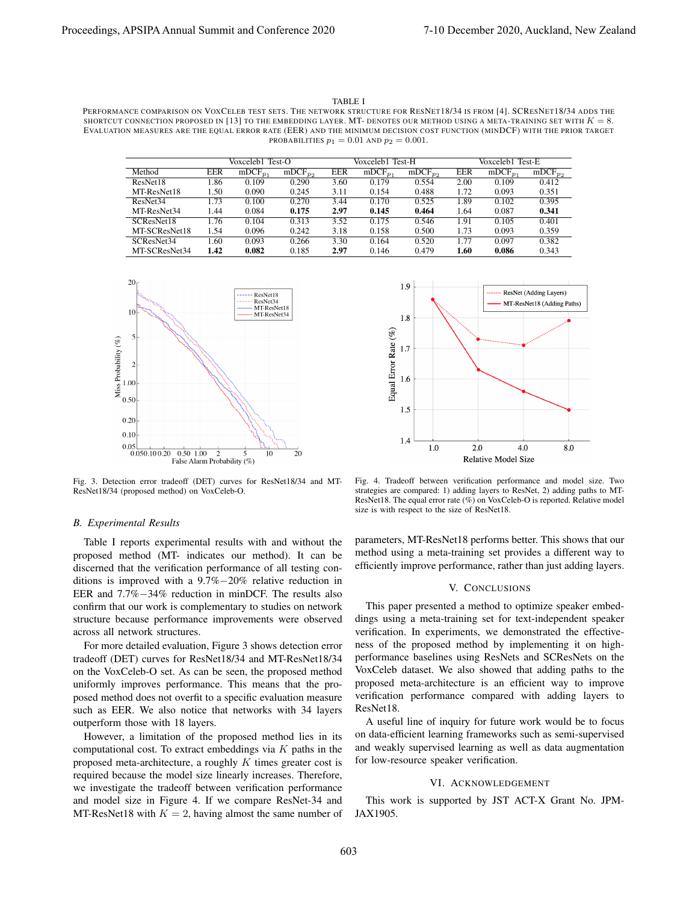TABLE I

PERFORMANCE COMPARISON ON VOXCELEB TEST SETS. THE NETWORK STRUCTURE FOR RESNET18/34 IS FROM [4]. SCRESNET18/34 ADDS THE SHORTCUT CONNECTION PROPOSED IN [13] TO THE EMBEDDING LAYER. MT- DENOTES OUR METHOD USING A META-TRAINING SET WITH  $K = 8$ . EVALUATION MEASURES ARE THE EQUAL ERROR RATE (EER) AND THE MINIMUM DECISION COST FUNCTION (MINDCF) WITH THE PRIOR TARGET PROBABILITIES  $p_1 = 0.01$  AND  $p_2 = 0.001$ .

|                      | Voxceleb1 Test-O |              |              | Voxceleb1 Test-H |              |              | Voxceleb1 Test-E |              |              |
|----------------------|------------------|--------------|--------------|------------------|--------------|--------------|------------------|--------------|--------------|
| Method               | EER              | $mDCF_{p_1}$ | $mDCF_{p_2}$ | <b>EER</b>       | $mDCF_{n_1}$ | $mDCF_{p_2}$ | <b>EER</b>       | $mDCF_{n_1}$ | $mDCF_{p_2}$ |
| ResNet18             | 1.86             | 0.109        | 0.290        | 3.60             | 0.179        | 0.554        | 2.00             | 0.109        | 0.412        |
| MT-ResNet18          | 1.50             | 0.090        | 0.245        | 3.11             | 0.154        | 0.488        | 1.72             | 0.093        | 0.351        |
| ResNet <sub>34</sub> | 1.73             | 0.100        | 0.270        | 3.44             | 0.170        | 0.525        | 1.89             | 0.102        | 0.395        |
| MT-ResNet34          | 1.44             | 0.084        | 0.175        | 2.97             | 0.145        | 0.464        | 1.64             | 0.087        | 0.341        |
| SCResNet18           | 1.76             | 0.104        | 0.313        | 3.52             | 0.175        | 0.546        | 1.91             | 0.105        | 0.401        |
| MT-SCResNet18        | 1.54             | 0.096        | 0.242        | 3.18             | 0.158        | 0.500        | 1.73             | 0.093        | 0.359        |
| SCResNet34           | 1.60             | 0.093        | 0.266        | 3.30             | 0.164        | 0.520        | 1.77             | 0.097        | 0.382        |
| MT-SCResNet34        | 1.42             | 0.082        | 0.185        | 2.97             | 0.146        | 0.479        | 1.60             | 0.086        | 0.343        |



Fig. 3. Detection error tradeoff (DET) curves for ResNet18/34 and MT-ResNet18/34 (proposed method) on VoxCeleb-O.

#### *B. Experimental Results*

Table I reports experimental results with and without the proposed method (MT- indicates our method). It can be discerned that the verification performance of all testing conditions is improved with a 9.7%*−*20% relative reduction in EER and 7.7%*−*34% reduction in minDCF. The results also confirm that our work is complementary to studies on network structure because performance improvements were observed across all network structures.

For more detailed evaluation, Figure 3 shows detection error tradeoff (DET) curves for ResNet18/34 and MT-ResNet18/34 on the VoxCeleb-O set. As can be seen, the proposed method uniformly improves performance. This means that the proposed method does not overfit to a specific evaluation measure such as EER. We also notice that networks with 34 layers outperform those with 18 layers.

However, a limitation of the proposed method lies in its computational cost. To extract embeddings via *K* paths in the proposed meta-architecture, a roughly *K* times greater cost is required because the model size linearly increases. Therefore, we investigate the tradeoff between verification performance and model size in Figure 4. If we compare ResNet-34 and MT-ResNet18 with  $K = 2$ , having almost the same number of



Fig. 4. Tradeoff between verification performance and model size. Two strategies are compared: 1) adding layers to ResNet, 2) adding paths to MT-ResNet18. The equal error rate (%) on VoxCeleb-O is reported. Relative model size is with respect to the size of ResNet18.

parameters, MT-ResNet18 performs better. This shows that our method using a meta-training set provides a different way to efficiently improve performance, rather than just adding layers.

## V. CONCLUSIONS

This paper presented a method to optimize speaker embeddings using a meta-training set for text-independent speaker verification. In experiments, we demonstrated the effectiveness of the proposed method by implementing it on highperformance baselines using ResNets and SCResNets on the VoxCeleb dataset. We also showed that adding paths to the proposed meta-architecture is an efficient way to improve verification performance compared with adding layers to ResNet18.

A useful line of inquiry for future work would be to focus on data-efficient learning frameworks such as semi-supervised and weakly supervised learning as well as data augmentation for low-resource speaker verification.

# VI. ACKNOWLEDGEMENT

This work is supported by JST ACT-X Grant No. JPM-JAX1905.